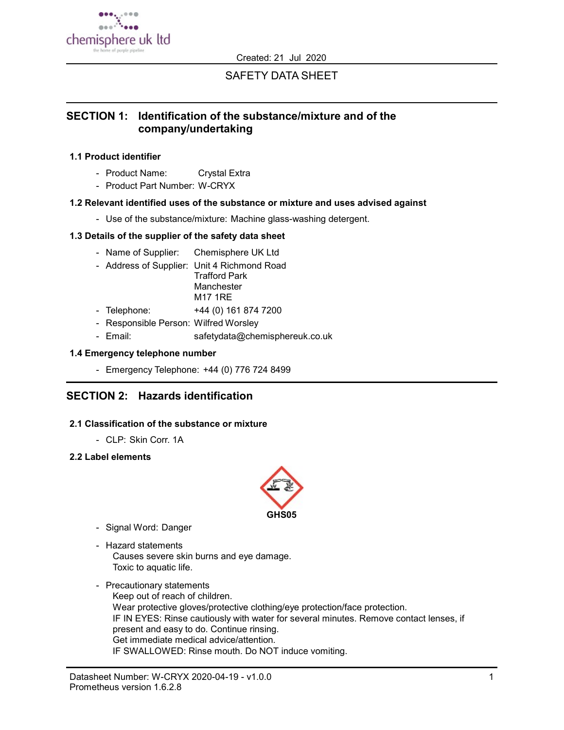

Created: 21 Jul 2020

# SAFETY DATA SHEET

# SECTION 1: Identification of the substance/mixture and of the company/undertaking

### 1.1 Product identifier

- Product Name: Crystal Extra
- Product Part Number: W-CRYX

### 1.2 Relevant identified uses of the substance or mixture and uses advised against

- Use of the substance/mixture: Machine glass-washing detergent.

### 1.3 Details of the supplier of the safety data sheet

- Name of Supplier: Chemisphere UK Ltd
- Address of Supplier: Unit 4 Richmond Road Trafford Park **Manchester** M17 1RE
- Telephone: +44 (0) 161 874 7200
- Responsible Person: Wilfred Worsley
- Email: safetydata@chemisphereuk.co.uk

### 1.4 Emergency telephone number

- Emergency Telephone: +44 (0) 776 724 8499

# SECTION 2: Hazards identification

## 2.1 Classification of the substance or mixture

- CLP: Skin Corr. 1A

### 2.2 Label elements



- Signal Word: Danger
- Hazard statements Causes severe skin burns and eye damage. Toxic to aquatic life.
- Precautionary statements Keep out of reach of children. Wear protective gloves/protective clothing/eye protection/face protection. IF IN EYES: Rinse cautiously with water for several minutes. Remove contact lenses, if present and easy to do. Continue rinsing. Get immediate medical advice/attention. IF SWALLOWED: Rinse mouth. Do NOT induce vomiting.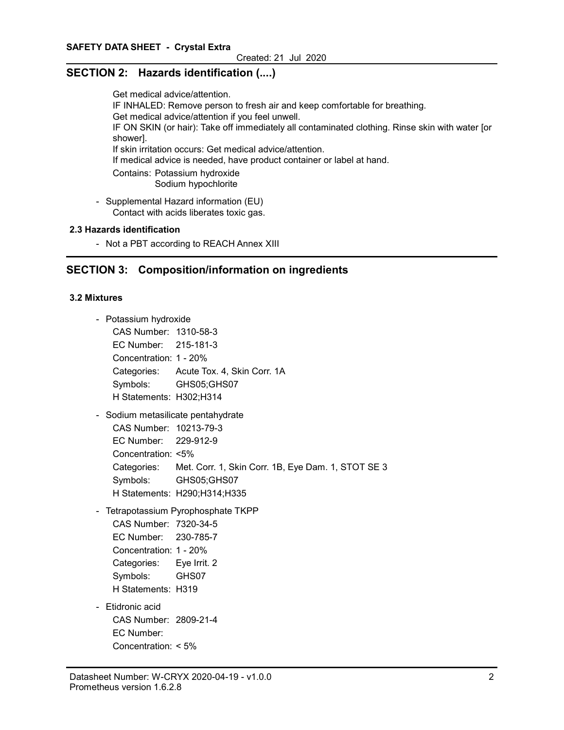# SECTION 2: Hazards identification (....)

Get medical advice/attention. IF INHALED: Remove person to fresh air and keep comfortable for breathing. Get medical advice/attention if you feel unwell. IF ON SKIN (or hair): Take off immediately all contaminated clothing. Rinse skin with water [or shower]. If skin irritation occurs: Get medical advice/attention. If medical advice is needed, have product container or label at hand. Contains: Potassium hydroxide Sodium hypochlorite - Supplemental Hazard information (EU)

Contact with acids liberates toxic gas.

### 2.3 Hazards identification

- Not a PBT according to REACH Annex XIII

# SECTION 3: Composition/information on ingredients

#### 3.2 Mixtures

- Potassium hydroxide
	- CAS Number: 1310-58-3 EC Number: 215-181-3 Concentration: 1 - 20% Categories: Acute Tox. 4, Skin Corr. 1A Symbols: GHS05;GHS07 H Statements: H302;H314
- Sodium metasilicate pentahydrate

CAS Number: 10213-79-3 EC Number: 229-912-9 Concentration: <5% Categories: Met. Corr. 1, Skin Corr. 1B, Eye Dam. 1, STOT SE 3 Symbols: GHS05;GHS07 H Statements: H290;H314;H335

- Tetrapotassium Pyrophosphate TKPP

CAS Number: 7320-34-5 EC Number: 230-785-7 Concentration: 1 - 20% Categories: Eye Irrit. 2 Symbols: GHS07 H Statements: H319

- Etidronic acid

CAS Number: 2809-21-4 EC Number: Concentration: < 5%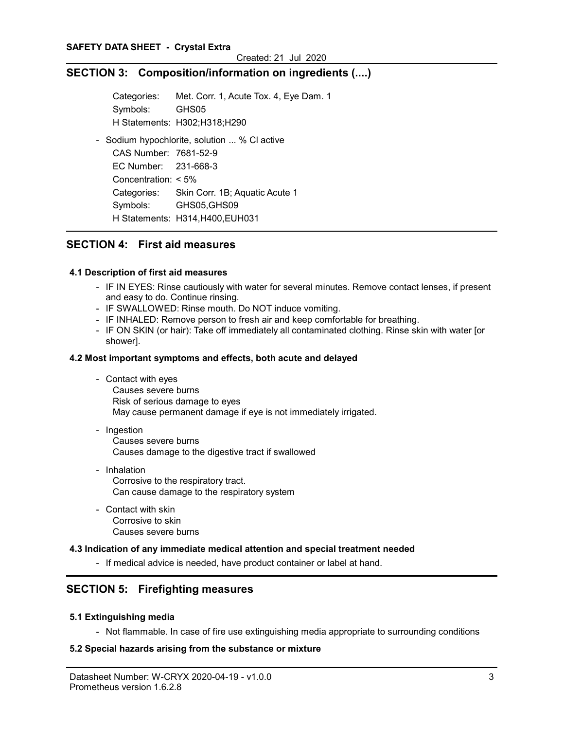# SECTION 3: Composition/information on ingredients (....)

Categories: Met. Corr. 1, Acute Tox. 4, Eye Dam. 1 Symbols: GHS05 H Statements: H302;H318;H290 - Sodium hypochlorite, solution ... % Cl active CAS Number: 7681-52-9 EC Number: 231-668-3 Concentration: < 5% Categories: Skin Corr. 1B; Aquatic Acute 1 Symbols: GHS05,GHS09

H Statements: H314,H400,EUH031

# SECTION 4: First aid measures

#### 4.1 Description of first aid measures

- IF IN EYES: Rinse cautiously with water for several minutes. Remove contact lenses, if present and easy to do. Continue rinsing.
- IF SWALLOWED: Rinse mouth. Do NOT induce vomiting.
- IF INHALED: Remove person to fresh air and keep comfortable for breathing.
- IF ON SKIN (or hair): Take off immediately all contaminated clothing. Rinse skin with water [or shower].

#### 4.2 Most important symptoms and effects, both acute and delayed

- Contact with eyes Causes severe burns Risk of serious damage to eyes May cause permanent damage if eye is not immediately irrigated.
- Ingestion Causes severe burns Causes damage to the digestive tract if swallowed
- Inhalation Corrosive to the respiratory tract. Can cause damage to the respiratory system
- Contact with skin Corrosive to skin Causes severe burns

#### 4.3 Indication of any immediate medical attention and special treatment needed

- If medical advice is needed, have product container or label at hand.

# SECTION 5: Firefighting measures

#### 5.1 Extinguishing media

- Not flammable. In case of fire use extinguishing media appropriate to surrounding conditions

#### 5.2 Special hazards arising from the substance or mixture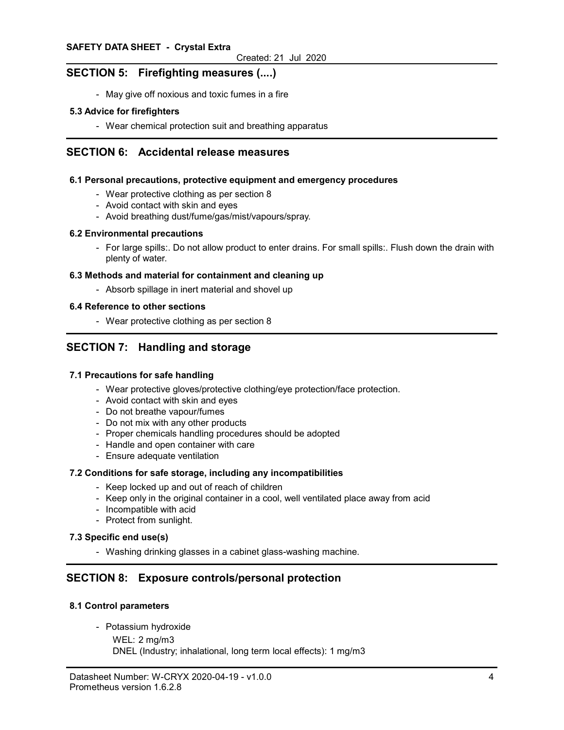# SECTION 5: Firefighting measures (....)

- May give off noxious and toxic fumes in a fire

#### 5.3 Advice for firefighters

- Wear chemical protection suit and breathing apparatus

## SECTION 6: Accidental release measures

#### 6.1 Personal precautions, protective equipment and emergency procedures

- Wear protective clothing as per section 8
- Avoid contact with skin and eyes
- Avoid breathing dust/fume/gas/mist/vapours/spray.

#### 6.2 Environmental precautions

- For large spills:. Do not allow product to enter drains. For small spills:. Flush down the drain with plenty of water.

#### 6.3 Methods and material for containment and cleaning up

- Absorb spillage in inert material and shovel up

#### 6.4 Reference to other sections

- Wear protective clothing as per section 8

# SECTION 7: Handling and storage

#### 7.1 Precautions for safe handling

- Wear protective gloves/protective clothing/eye protection/face protection.
- Avoid contact with skin and eyes
- Do not breathe vapour/fumes
- Do not mix with any other products
- Proper chemicals handling procedures should be adopted
- Handle and open container with care
- Ensure adequate ventilation

#### 7.2 Conditions for safe storage, including any incompatibilities

- Keep locked up and out of reach of children
- Keep only in the original container in a cool, well ventilated place away from acid
- Incompatible with acid
- Protect from sunlight.

### 7.3 Specific end use(s)

- Washing drinking glasses in a cabinet glass-washing machine.

# SECTION 8: Exposure controls/personal protection

#### 8.1 Control parameters

- Potassium hydroxide

```
WEL: 2 mg/m3
```
DNEL (Industry; inhalational, long term local effects): 1 mg/m3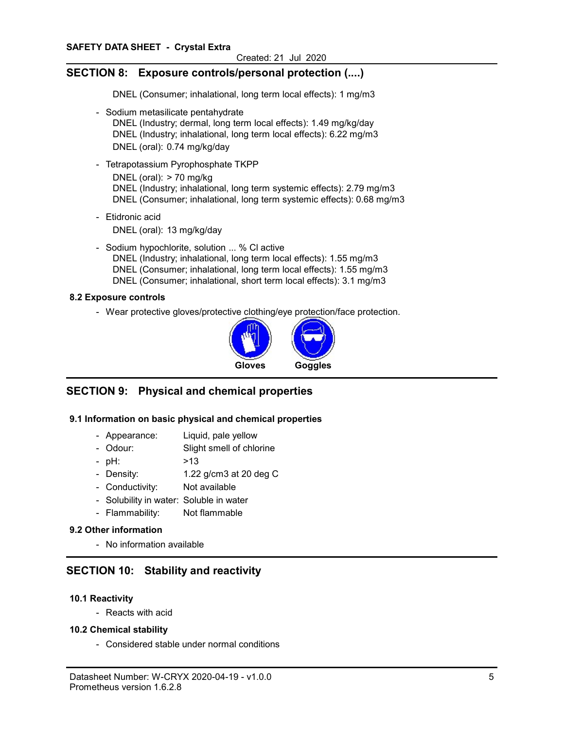# SECTION 8: Exposure controls/personal protection (....)

DNEL (Consumer; inhalational, long term local effects): 1 mg/m3

- Sodium metasilicate pentahydrate DNEL (Industry; dermal, long term local effects): 1.49 mg/kg/day DNEL (Industry; inhalational, long term local effects): 6.22 mg/m3 DNEL (oral): 0.74 mg/kg/day
- Tetrapotassium Pyrophosphate TKPP DNEL (oral):  $> 70$  mg/kg DNEL (Industry; inhalational, long term systemic effects): 2.79 mg/m3 DNEL (Consumer; inhalational, long term systemic effects): 0.68 mg/m3
- Etidronic acid DNEL (oral): 13 mg/kg/day
- Sodium hypochlorite, solution ... % Cl active DNEL (Industry; inhalational, long term local effects): 1.55 mg/m3 DNEL (Consumer; inhalational, long term local effects): 1.55 mg/m3 DNEL (Consumer; inhalational, short term local effects): 3.1 mg/m3

## 8.2 Exposure controls

- Wear protective gloves/protective clothing/eye protection/face protection.



# SECTION 9: Physical and chemical properties

## 9.1 Information on basic physical and chemical properties

- Appearance: Liquid, pale yellow
- Odour: Slight smell of chlorine
- pH:  $>13$
- Density: 1.22 g/cm3 at 20 deg C
- Conductivity: Not available
- Solubility in water: Soluble in water
- Flammability: Not flammable

#### 9.2 Other information

- No information available

# SECTION 10: Stability and reactivity

#### 10.1 Reactivity

- Reacts with acid

#### 10.2 Chemical stability

- Considered stable under normal conditions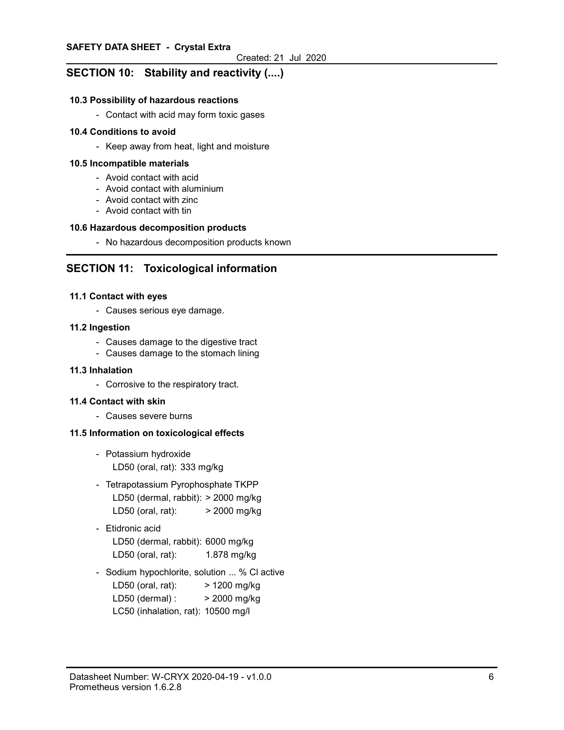# SECTION 10: Stability and reactivity (....)

#### 10.3 Possibility of hazardous reactions

- Contact with acid may form toxic gases

#### 10.4 Conditions to avoid

- Keep away from heat, light and moisture

#### 10.5 Incompatible materials

- Avoid contact with acid
- Avoid contact with aluminium
- Avoid contact with zinc
- Avoid contact with tin

### 10.6 Hazardous decomposition products

- No hazardous decomposition products known

# SECTION 11: Toxicological information

#### 11.1 Contact with eyes

- Causes serious eye damage.

#### 11.2 Ingestion

- Causes damage to the digestive tract
- Causes damage to the stomach lining

#### 11.3 Inhalation

- Corrosive to the respiratory tract.

#### 11.4 Contact with skin

- Causes severe burns

#### 11.5 Information on toxicological effects

- Potassium hydroxide LD50 (oral, rat): 333 mg/kg
- Tetrapotassium Pyrophosphate TKPP LD50 (dermal, rabbit): > 2000 mg/kg LD50 (oral, rat): > 2000 mg/kg
- Etidronic acid

LD50 (dermal, rabbit): 6000 mg/kg LD50 (oral, rat): 1.878 mg/kg

- Sodium hypochlorite, solution ... % Cl active LD50 (oral, rat): > 1200 mg/kg LD50 (dermal) : > 2000 mg/kg LC50 (inhalation, rat): 10500 mg/l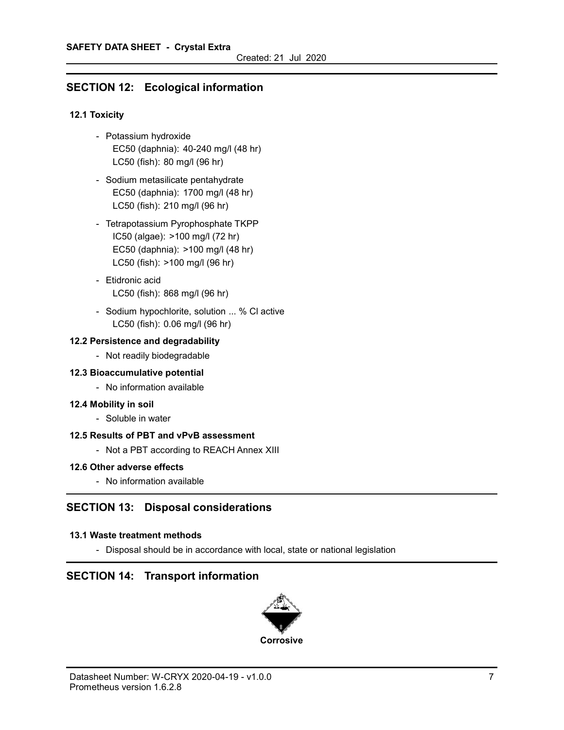# SECTION 12: Ecological information

## 12.1 Toxicity

- Potassium hydroxide EC50 (daphnia): 40-240 mg/l (48 hr) LC50 (fish): 80 mg/l (96 hr)
- Sodium metasilicate pentahydrate EC50 (daphnia): 1700 mg/l (48 hr) LC50 (fish): 210 mg/l (96 hr)
- Tetrapotassium Pyrophosphate TKPP IC50 (algae): >100 mg/l (72 hr) EC50 (daphnia): >100 mg/l (48 hr) LC50 (fish): >100 mg/l (96 hr)
- Etidronic acid LC50 (fish): 868 mg/l (96 hr)
- Sodium hypochlorite, solution ... % Cl active LC50 (fish): 0.06 mg/l (96 hr)

## 12.2 Persistence and degradability

- Not readily biodegradable

## 12.3 Bioaccumulative potential

- No information available

## 12.4 Mobility in soil

- Soluble in water

# 12.5 Results of PBT and vPvB assessment

- Not a PBT according to REACH Annex XIII

## 12.6 Other adverse effects

- No information available

# SECTION 13: Disposal considerations

## 13.1 Waste treatment methods

- Disposal should be in accordance with local, state or national legislation

# SECTION 14: Transport information

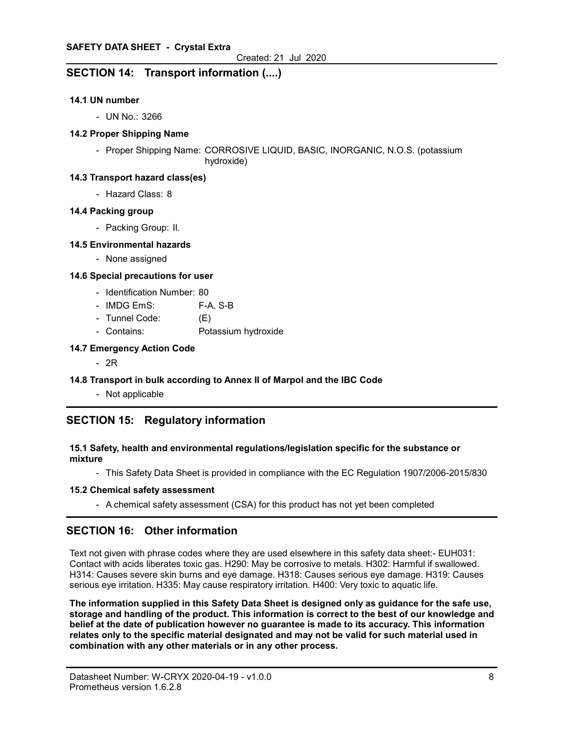# SECTION 14: Transport information (....)

#### 14.1 UN number

- UN No.: 3266

#### 14.2 Proper Shipping Name

- Proper Shipping Name: CORROSIVE LIQUID, BASIC, INORGANIC, N.O.S. (potassium hydroxide)

#### 14.3 Transport hazard class(es)

- Hazard Class: 8

#### 14.4 Packing group

- Packing Group: II.

### 14.5 Environmental hazards

- None assigned

### 14.6 Special precautions for user

- Identification Number: 80
- IMDG EmS: F-A, S-B
- Tunnel Code: (E)
- Contains: Potassium hydroxide

### 14.7 Emergency Action Code

- 2R

## 14.8 Transport in bulk according to Annex II of Marpol and the IBC Code

- Not applicable

# SECTION 15: Regulatory information

### 15.1 Safety, health and environmental regulations/legislation specific for the substance or mixture

- This Safety Data Sheet is provided in compliance with the EC Regulation 1907/2006-2015/830

#### 15.2 Chemical safety assessment

- A chemical safety assessment (CSA) for this product has not yet been completed

# SECTION 16: Other information

Text not given with phrase codes where they are used elsewhere in this safety data sheet:- EUH031: Contact with acids liberates toxic gas. H290: May be corrosive to metals. H302: Harmful if swallowed. H314: Causes severe skin burns and eye damage. H318: Causes serious eye damage. H319: Causes serious eye irritation. H335: May cause respiratory irritation. H400: Very toxic to aquatic life.

The information supplied in this Safety Data Sheet is designed only as guidance for the safe use, storage and handling of the product. This information is correct to the best of our knowledge and belief at the date of publication however no guarantee is made to its accuracy. This information relates only to the specific material designated and may not be valid for such material used in combination with any other materials or in any other process.